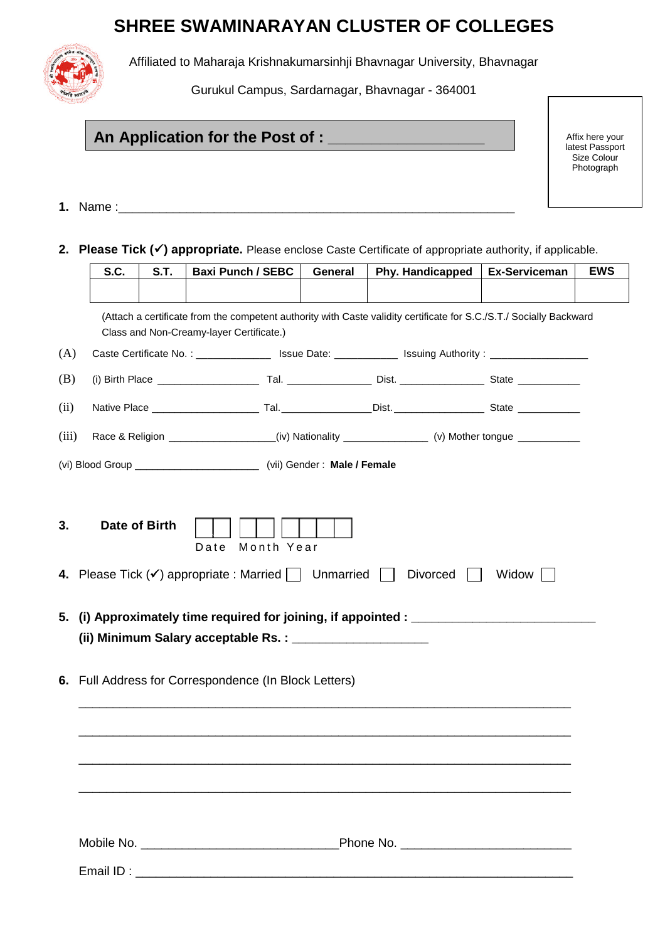# **SHREE SWAMINARAYAN CLUSTER OF COLLEGES**



Affiliated to Maharaja Krishnakumarsinhji Bhavnagar University, Bhavnagar

Gurukul Campus, Sardarnagar, Bhavnagar - 364001

## **An Application for the Post of : \_\_\_\_\_\_\_\_\_\_\_\_\_\_\_\_\_\_**

Affix here your latest Passport Size Colour **Photograph** 

**1.** Name :\_\_\_\_\_\_\_\_\_\_\_\_\_\_\_\_\_\_\_\_\_\_\_\_\_\_\_\_\_\_\_\_\_\_\_\_\_\_\_\_\_\_\_\_\_\_\_\_\_\_\_\_\_\_\_\_\_\_

**2. Please Tick () appropriate.** Please enclose Caste Certificate of appropriate authority, if applicable.

|       | S.C. | S.T.          | <b>Baxi Punch / SEBC</b>                                                                                                                                        | General | Phy. Handicapped | <b>Ex-Serviceman</b> | <b>EWS</b> |
|-------|------|---------------|-----------------------------------------------------------------------------------------------------------------------------------------------------------------|---------|------------------|----------------------|------------|
|       |      |               |                                                                                                                                                                 |         |                  |                      |            |
|       |      |               | (Attach a certificate from the competent authority with Caste validity certificate for S.C./S.T./ Socially Backward<br>Class and Non-Creamy-layer Certificate.) |         |                  |                      |            |
| (A)   |      |               | Caste Certificate No.: ___________________ Issue Date: _______________ Issuing Authority : __________________                                                   |         |                  |                      |            |
| (B)   |      |               |                                                                                                                                                                 |         |                  |                      |            |
| (ii)  |      |               |                                                                                                                                                                 |         |                  |                      |            |
| (iii) |      |               | Race & Religion _________________(iv) Nationality _______________(v) Mother tongue ___________                                                                  |         |                  |                      |            |
|       |      |               | (vi) Blood Group __________________________________ (vii) Gender: Male / Female                                                                                 |         |                  |                      |            |
|       |      |               |                                                                                                                                                                 |         |                  |                      |            |
| 3.    |      | Date of Birth | Month Year<br>Date                                                                                                                                              |         |                  |                      |            |
|       |      |               | 4. Please Tick $(\checkmark)$ appropriate : Married     Unmarried                                                                                               |         | Divorced         | Widow                |            |
| 5.    |      |               | (i) Approximately time required for joining, if appointed : ____________________                                                                                |         |                  |                      |            |
|       |      |               | 6. Full Address for Correspondence (In Block Letters)                                                                                                           |         |                  |                      |            |
|       |      |               |                                                                                                                                                                 |         |                  |                      |            |
|       |      |               |                                                                                                                                                                 |         |                  |                      |            |
|       |      |               |                                                                                                                                                                 |         |                  |                      |            |
|       |      |               |                                                                                                                                                                 |         |                  |                      |            |
|       |      |               |                                                                                                                                                                 |         |                  |                      |            |
|       |      |               |                                                                                                                                                                 |         |                  |                      |            |
|       |      |               |                                                                                                                                                                 |         |                  |                      |            |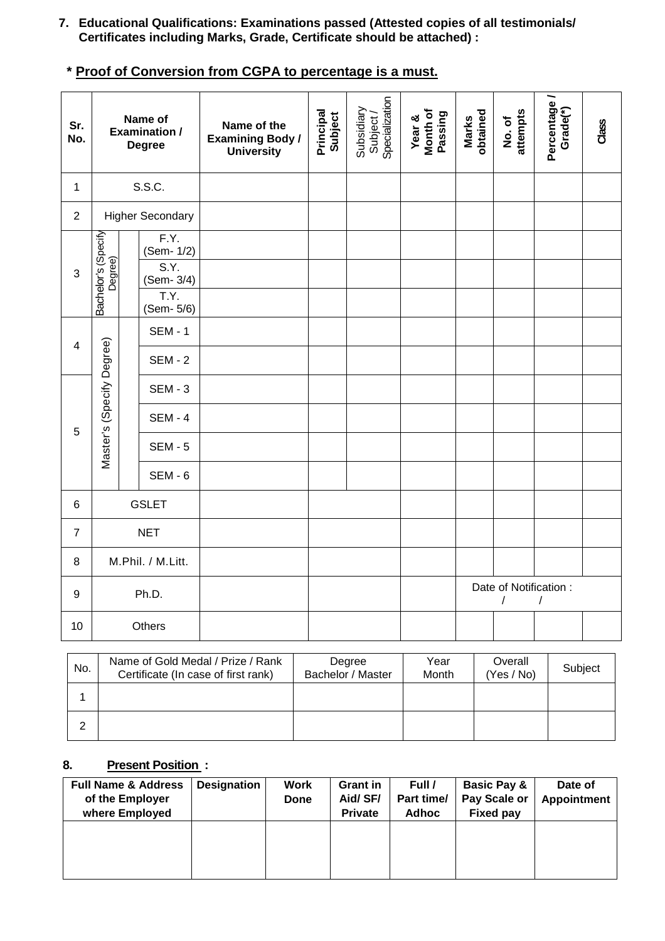- **7. Educational Qualifications: Examinations passed (Attested copies of all testimonials/ Certificates including Marks, Grade, Certificate should be attached) :**
- **\* Proof of Conversion from CGPA to percentage is a must.**

| Sr.<br>No.       |                                |                           | Name of<br><b>Examination /</b><br><b>Degree</b> | Name of the<br><b>Examining Body /</b><br><b>University</b> | Principal<br>Subject | Subsidiary<br>Subject /<br>Specialization | Year &<br>Month of<br>Passing | Marks<br>obtained | attempts<br>No. of          | Percentage/<br>Grade <sup>(*)</sup> | Class |
|------------------|--------------------------------|---------------------------|--------------------------------------------------|-------------------------------------------------------------|----------------------|-------------------------------------------|-------------------------------|-------------------|-----------------------------|-------------------------------------|-------|
| $\mathbf{1}$     |                                |                           | S.S.C.                                           |                                                             |                      |                                           |                               |                   |                             |                                     |       |
| $\overline{2}$   |                                |                           | <b>Higher Secondary</b>                          |                                                             |                      |                                           |                               |                   |                             |                                     |       |
|                  |                                |                           | F.Y.<br>(Sem- 1/2)                               |                                                             |                      |                                           |                               |                   |                             |                                     |       |
| 3                | Bachelor's (Specify<br>Degree) |                           | S.Y.<br>(Sem- 3/4)                               |                                                             |                      |                                           |                               |                   |                             |                                     |       |
|                  |                                |                           | T.Y.<br>(Sem- 5/6)                               |                                                             |                      |                                           |                               |                   |                             |                                     |       |
|                  | $\overline{\mathbf{4}}$        |                           | <b>SEM - 1</b>                                   |                                                             |                      |                                           |                               |                   |                             |                                     |       |
|                  |                                |                           | <b>SEM - 2</b>                                   |                                                             |                      |                                           |                               |                   |                             |                                     |       |
|                  |                                | Master's (Specify Degree) | <b>SEM - 3</b>                                   |                                                             |                      |                                           |                               |                   |                             |                                     |       |
| 5                |                                |                           | <b>SEM - 4</b>                                   |                                                             |                      |                                           |                               |                   |                             |                                     |       |
|                  |                                |                           | <b>SEM - 5</b>                                   |                                                             |                      |                                           |                               |                   |                             |                                     |       |
|                  |                                |                           | <b>SEM - 6</b>                                   |                                                             |                      |                                           |                               |                   |                             |                                     |       |
| $\,6\,$          |                                |                           | <b>GSLET</b>                                     |                                                             |                      |                                           |                               |                   |                             |                                     |       |
| $\overline{7}$   | <b>NET</b>                     |                           |                                                  |                                                             |                      |                                           |                               |                   |                             |                                     |       |
| 8                | M.Phil. / M.Litt.              |                           |                                                  |                                                             |                      |                                           |                               |                   |                             |                                     |       |
| $\boldsymbol{9}$ | Ph.D.                          |                           |                                                  |                                                             |                      |                                           |                               |                   | Date of Notification :<br>T |                                     |       |
| 10               |                                |                           | Others                                           |                                                             |                      |                                           |                               |                   |                             |                                     |       |

| No. | Name of Gold Medal / Prize / Rank<br>Certificate (In case of first rank) | Degree<br>Bachelor / Master | Year<br>Month | Overall<br>(Yes / No) | Subject |
|-----|--------------------------------------------------------------------------|-----------------------------|---------------|-----------------------|---------|
|     |                                                                          |                             |               |                       |         |
| ົ   |                                                                          |                             |               |                       |         |

### **8. Present Position :**

| <b>Full Name &amp; Address</b><br>of the Employer<br>where Employed | <b>Designation</b> | Work<br>Done | <b>Grant in</b><br>Aid/SF/<br><b>Private</b> | Full /<br>Part time/<br>Adhoc | <b>Basic Pay &amp;</b><br>Pay Scale or<br><b>Fixed pay</b> | Date of<br><b>Appointment</b> |
|---------------------------------------------------------------------|--------------------|--------------|----------------------------------------------|-------------------------------|------------------------------------------------------------|-------------------------------|
|                                                                     |                    |              |                                              |                               |                                                            |                               |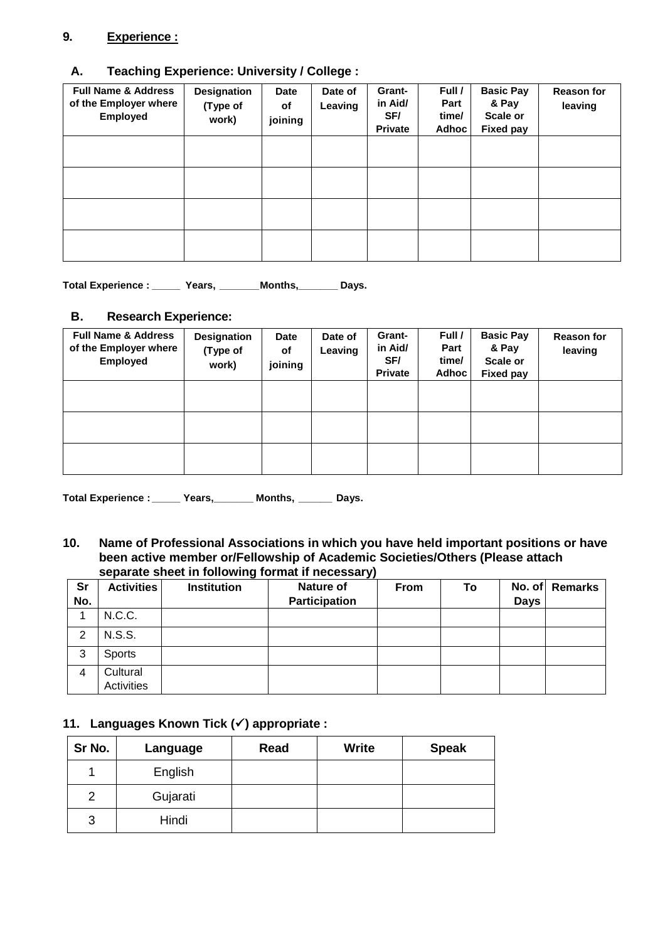#### **9. Experience :**

### **A. Teaching Experience: University / College :**

| <b>Full Name &amp; Address</b><br>of the Employer where<br>Employed | Designation<br>(Type of<br>work) | <b>Date</b><br>of<br>joining | Date of<br>Leaving | Grant-<br>in Aid/<br>SF/<br><b>Private</b> | Full /<br>Part<br>time/<br>Adhoc | <b>Basic Pay</b><br>& Pay<br>Scale or<br><b>Fixed pay</b> | <b>Reason for</b><br>leaving |
|---------------------------------------------------------------------|----------------------------------|------------------------------|--------------------|--------------------------------------------|----------------------------------|-----------------------------------------------------------|------------------------------|
|                                                                     |                                  |                              |                    |                                            |                                  |                                                           |                              |
|                                                                     |                                  |                              |                    |                                            |                                  |                                                           |                              |
|                                                                     |                                  |                              |                    |                                            |                                  |                                                           |                              |
|                                                                     |                                  |                              |                    |                                            |                                  |                                                           |                              |

**Total Experience : \_\_\_\_\_ Years, \_\_\_\_\_\_\_Months,\_\_\_\_\_\_\_ Days.**

#### **B. Research Experience:**

| <b>Full Name &amp; Address</b><br>of the Employer where<br><b>Employed</b> | <b>Designation</b><br>(Type of<br>work) | Date<br>of<br>joining | Date of<br>Leaving | Grant-<br>in Aid/<br>SF/<br><b>Private</b> | Full /<br>Part<br>time/<br>Adhoc | <b>Basic Pay</b><br>& Pay<br>Scale or<br><b>Fixed pay</b> | <b>Reason for</b><br>leaving |
|----------------------------------------------------------------------------|-----------------------------------------|-----------------------|--------------------|--------------------------------------------|----------------------------------|-----------------------------------------------------------|------------------------------|
|                                                                            |                                         |                       |                    |                                            |                                  |                                                           |                              |
|                                                                            |                                         |                       |                    |                                            |                                  |                                                           |                              |
|                                                                            |                                         |                       |                    |                                            |                                  |                                                           |                              |

**Total Experience : \_\_\_\_\_ Years,\_\_\_\_\_\_\_ Months, \_\_\_\_\_\_ Days.**

**10. Name of Professional Associations in which you have held important positions or have been active member or/Fellowship of Academic Societies/Others (Please attach separate sheet in following format if necessary)**

| <b>Sr</b><br>No. | <b>Activities</b>      | <b>Institution</b> | - -<br>Nature of<br>Participation | <b>From</b> | To | <b>Days</b> | No. of Remarks |
|------------------|------------------------|--------------------|-----------------------------------|-------------|----|-------------|----------------|
|                  | N.C.C.                 |                    |                                   |             |    |             |                |
| 2                | <b>N.S.S.</b>          |                    |                                   |             |    |             |                |
| 3                | <b>Sports</b>          |                    |                                   |             |    |             |                |
| 4                | Cultural<br>Activities |                    |                                   |             |    |             |                |

#### **11. Languages Known Tick () appropriate :**

| Sr No. | Language | Read | <b>Write</b> | <b>Speak</b> |
|--------|----------|------|--------------|--------------|
|        | English  |      |              |              |
| 2      | Gujarati |      |              |              |
| 3      | Hindi    |      |              |              |